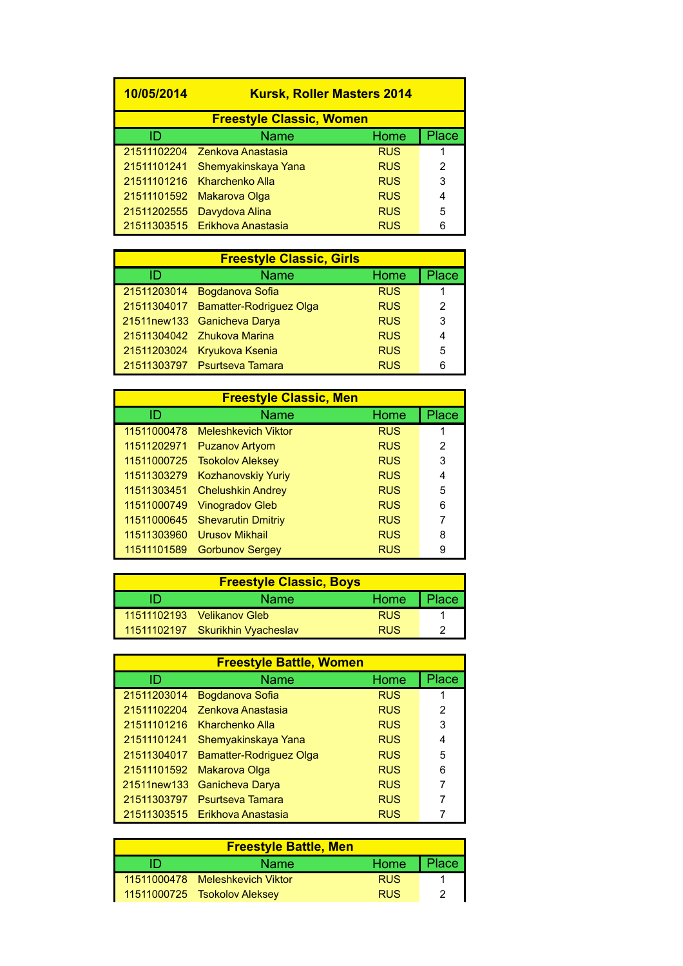| 10/05/2014                      |                                | <b>Kursk, Roller Masters 2014</b> |       |
|---------------------------------|--------------------------------|-----------------------------------|-------|
| <b>Freestyle Classic, Women</b> |                                |                                   |       |
| ID                              | <b>Name</b>                    | Home                              | Place |
|                                 | 21511102204 Zenkova Anastasia  | <b>RUS</b>                        |       |
| 21511101241                     | Shemyakinskaya Yana            | <b>RUS</b>                        | 2     |
|                                 | 21511101216 Kharchenko Alla    | <b>RUS</b>                        | 3     |
| 21511101592                     | Makarova Olga                  | <b>RUS</b>                        | 4     |
| 21511202555                     | Davydova Alina                 | <b>RUS</b>                        | 5     |
|                                 | 21511303515 Erikhova Anastasia | <b>RUS</b>                        | 6     |
|                                 |                                |                                   |       |

| <b>Freestyle Classic, Girls</b> |                                     |            |       |  |
|---------------------------------|-------------------------------------|------------|-------|--|
| ID                              | <b>Name</b>                         | Home       | Place |  |
|                                 | 21511203014 Bogdanova Sofia         | <b>RUS</b> |       |  |
|                                 | 21511304017 Bamatter-Rodriguez Olga | <b>RUS</b> | 2     |  |
|                                 | 21511new133 Ganicheva Darya         | <b>RUS</b> | 3     |  |
|                                 | 21511304042 Zhukova Marina          | <b>RUS</b> | 4     |  |
|                                 | 21511203024 Kryukova Ksenia         | <b>RUS</b> | 5     |  |
|                                 | 21511303797 Psurtseva Tamara        | <b>RUS</b> | 6     |  |

| <b>Freestyle Classic, Men</b> |                            |            |       |
|-------------------------------|----------------------------|------------|-------|
| ID                            | <b>Name</b>                | Home       | Place |
| 11511000478                   | <b>Meleshkevich Viktor</b> | <b>RUS</b> |       |
| 11511202971                   | <b>Puzanov Artyom</b>      | <b>RUS</b> | 2     |
| 11511000725                   | <b>Tsokolov Aleksey</b>    | <b>RUS</b> | 3     |
| 11511303279                   | <b>Kozhanovskiy Yuriy</b>  | <b>RUS</b> | 4     |
| 11511303451                   | <b>Chelushkin Andrey</b>   | <b>RUS</b> | 5     |
| 11511000749                   | <b>Vinogradov Gleb</b>     | <b>RUS</b> | 6     |
| 11511000645                   | <b>Shevarutin Dmitriy</b>  | <b>RUS</b> | 7     |
| 11511303960                   | <b>Urusov Mikhail</b>      | <b>RUS</b> | 8     |
| 11511101589                   | <b>Gorbunov Sergey</b>     | <b>RUS</b> | 9     |

| <b>Freestyle Classic, Boys</b> |                                  |            |       |  |
|--------------------------------|----------------------------------|------------|-------|--|
|                                | <b>Name</b>                      | Home       | Place |  |
|                                | 11511102193  Velikanov Gleb      | <b>RUS</b> |       |  |
|                                | 11511102197 Skurikhin Vyacheslav | <b>RUS</b> |       |  |

| <b>Freestyle Battle, Women</b> |                                |            |       |  |
|--------------------------------|--------------------------------|------------|-------|--|
| ID                             | Name                           | Home       | Place |  |
| 21511203014                    | Bogdanova Sofia                | <b>RUS</b> |       |  |
| 21511102204                    | Zenkova Anastasia              | <b>RUS</b> | 2     |  |
| 21511101216                    | Kharchenko Alla                | <b>RUS</b> | 3     |  |
| 21511101241                    | Shemyakinskaya Yana            | <b>RUS</b> | 4     |  |
| 21511304017                    | Bamatter-Rodriguez Olga        | <b>RUS</b> | 5     |  |
| 21511101592                    | Makarova Olga                  | <b>RUS</b> | 6     |  |
| 21511new133                    | Ganicheva Darya                | <b>RUS</b> | 7     |  |
| 21511303797                    | <b>Psurtseva Tamara</b>        | <b>RUS</b> | 7     |  |
|                                | 21511303515 Erikhova Anastasia | <b>RUS</b> |       |  |

| <b>Freestyle Battle, Men</b> |                                 |              |   |  |
|------------------------------|---------------------------------|--------------|---|--|
| ID                           | <b>Name</b>                     | Home   Place |   |  |
|                              | 11511000478 Meleshkevich Viktor | <b>RUS</b>   |   |  |
|                              | 11511000725 Tsokolov Aleksey    | <b>RUS</b>   | 2 |  |